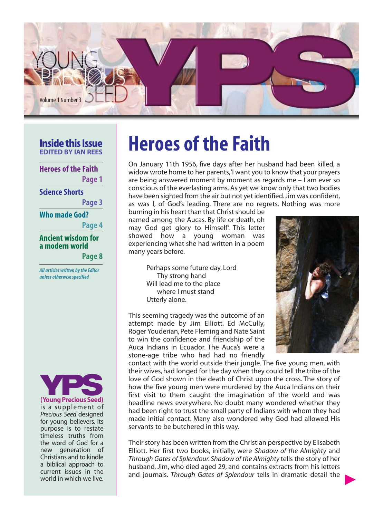

#### **Inside this Issue EDITED BY IAN REES**

**Heroes of the Faith Page 1**

**Science Shorts**

**Page 3**

**Who made God?**

**Page 4**

#### **Ancient wisdom for a modern world**

**Page 8**

*All articles written by the Editor unless otherwise specified*



**(Young Precious Seed)** is a supplement of Precious Seed designed for young believers. Its purpose is to restate timeless truths from the word of God for a new generation of Christians and to kindle a biblical approach to current issues in the world in which we live.

# **Heroes of the Faith**

On January 11th 1956, five days after her husband had been killed, a widow wrote home to her parents,'I want you to know that your prayers are being answered moment by moment as regards me – I am ever so conscious of the everlasting arms. As yet we know only that two bodies have been sighted from the air but not yet identified. Jim was confident, as was I, of God's leading. There are no regrets. Nothing was more

burning in his heart than that Christ should be named among the Aucas. By life or death, oh may God get glory to Himself'. This letter showed how a young woman was experiencing what she had written in a poem many years before.

> Perhaps some future day, Lord Thy strong hand Will lead me to the place where I must stand Utterly alone.

This seeming tragedy was the outcome of an attempt made by Jim Elliott, Ed McCully, Roger Youderian, Pete Fleming and Nate Saint to win the confidence and friendship of the Auca Indians in Ecuador. The Auca's were a stone-age tribe who had had no friendly

contact with the world outside their jungle. The five young men, with their wives, had longed for the day when they could tell the tribe of the love of God shown in the death of Christ upon the cross. The story of how the five young men were murdered by the Auca Indians on their first visit to them caught the imagination of the world and was headline news everywhere. No doubt many wondered whether they had been right to trust the small party of Indians with whom they had made initial contact. Many also wondered why God had allowed His servants to be butchered in this way.

Their story has been written from the Christian perspective by Elisabeth Elliott. Her first two books, initially, were Shadow of the Almighty and Through Gates of Splendour. Shadow of the Almighty tells the story of her husband, Jim, who died aged 29, and contains extracts from his letters and journals. Through Gates of Splendour tells in dramatic detail the

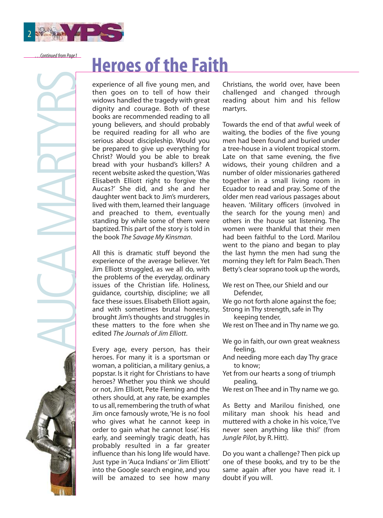

AUCA MARTYRS

# **Heroes of the Faith** *…Continued from Page1*

experience of all five young men, and then goes on to tell of how their widows handled the tragedy with great dignity and courage. Both of these books are recommended reading to all young believers, and should probably be required reading for all who are serious about discipleship. Would you be prepared to give up everything for Christ? Would you be able to break bread with your husband's killers? A recent website asked the question,'Was Elisabeth Elliott right to forgive the Aucas?' She did, and she and her daughter went back to Jim's murderers, lived with them, learned their language and preached to them, eventually standing by while some of them were baptized. This part of the story is told in the book The Savage My Kinsman.

All this is dramatic stuff beyond the experience of the average believer. Yet Jim Elliott struggled, as we all do, with the problems of the everyday, ordinary issues of the Christian life. Holiness, guidance, courtship, discipline; we all face these issues. Elisabeth Elliott again, and with sometimes brutal honesty, brought Jim's thoughts and struggles in these matters to the fore when she edited The Journals of Jim Elliott

Every age, every person, has their heroes. For many it is a sportsman or woman, a politician, a military genius, a popstar. Is it right for Christians to have heroes? Whether you think we should or not, Jim Elliott, Pete Fleming and the others should, at any rate, be examples to us all, remembering the truth of what Jim once famously wrote, 'He is no fool who gives what he cannot keep in order to gain what he cannot lose'. His early, and seemingly tragic death, has probably resulted in a far greater influence than his long life would have. Just type in 'Auca Indians' or 'Jim Elliott' into the Google search engine, and you will be amazed to see how many Christians, the world over, have been challenged and changed through reading about him and his fellow martyrs.

Towards the end of that awful week of waiting, the bodies of the five young men had been found and buried under a tree-house in a violent tropical storm. Late on that same evening, the five widows, their young children and a number of older missionaries gathered together in a small living room in Ecuador to read and pray. Some of the older men read various passages about heaven. 'Military officers (involved in the search for the young men) and others in the house sat listening. The women were thankful that their men had been faithful to the Lord. Marilou went to the piano and began to play the last hymn the men had sung the morning they left for Palm Beach. Then Betty's clear soprano took up the words,

- We rest on Thee, our Shield and our Defender,
- We go not forth alone against the foe;
- Strong in Thy strength, safe in Thy keeping tender,
- We rest on Thee and in Thy name we go.
- We go in faith, our own great weakness feeling,
- And needing more each day Thy grace to know;
- Yet from our hearts a song of triumph pealing,
- We rest on Thee and in Thy name we go.

As Betty and Marilou finished, one military man shook his head and muttered with a choke in his voice,'I've never seen anything like this!' (from Jungle Pilot, by R. Hitt).

Do you want a challenge? Then pick up one of these books, and try to be the same again after you have read it. I doubt if you will.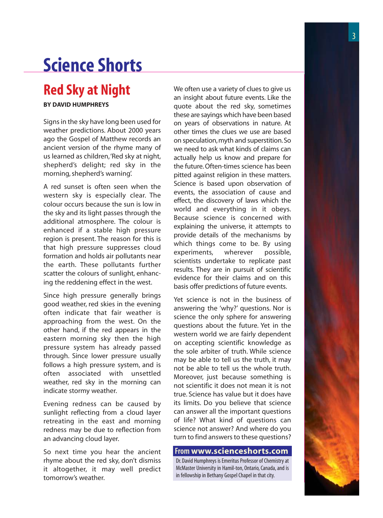#### 3

# **Science Shorts**

## **Red Sky at Night**

#### **BY DAVID HUMPHREYS**

Signs in the sky have long been used for weather predictions. About 2000 years ago the Gospel of Matthew records an ancient version of the rhyme many of us learned as children,'Red sky at night, shepherd's delight; red sky in the morning, shepherd's warning'.

A red sunset is often seen when the western sky is especially clear. The colour occurs because the sun is low in the sky and its light passes through the additional atmosphere. The colour is enhanced if a stable high pressure region is present. The reason for this is that high pressure suppresses cloud formation and holds air pollutants near the earth. These pollutants further scatter the colours of sunlight, enhancing the reddening effect in the west.

Since high pressure generally brings good weather, red skies in the evening often indicate that fair weather is approaching from the west. On the other hand, if the red appears in the eastern morning sky then the high pressure system has already passed through. Since lower pressure usually follows a high pressure system, and is often associated with unsettled weather, red sky in the morning can indicate stormy weather.

Evening redness can be caused by sunlight reflecting from a cloud layer retreating in the east and morning redness may be due to reflection from an advancing cloud layer.

So next time you hear the ancient rhyme about the red sky, don't dismiss it altogether, it may well predict tomorrow's weather.

We often use a variety of clues to give us an insight about future events. Like the quote about the red sky, sometimes these are sayings which have been based on years of observations in nature. At other times the clues we use are based on speculation,myth and superstition.So we need to ask what kinds of claims can actually help us know and prepare for the future. Often-times science has been pitted against religion in these matters. Science is based upon observation of events, the association of cause and effect, the discovery of laws which the world and everything in it obeys. Because science is concerned with explaining the universe, it attempts to provide details of the mechanisms by which things come to be. By using experiments, wherever possible, scientists undertake to replicate past results. They are in pursuit of scientific evidence for their claims and on this basis offer predictions of future events.

Yet science is not in the business of answering the 'why?' questions. Nor is science the only sphere for answering questions about the future. Yet in the western world we are fairly dependent on accepting scientific knowledge as the sole arbiter of truth. While science may be able to tell us the truth, it may not be able to tell us the whole truth. Moreover, just because something is not scientific it does not mean it is not true. Science has value but it does have its limits. Do you believe that science can answer all the important questions of life? What kind of questions can science not answer? And where do you turn to find answers to these questions?

#### **From www.scienceshorts.com**

Dr. David Humphreys is Emeritus Professor of Chemistry at McMaster University in Hamil-ton, Ontario, Canada, and is in fellowship in Bethany Gospel Chapel in that city.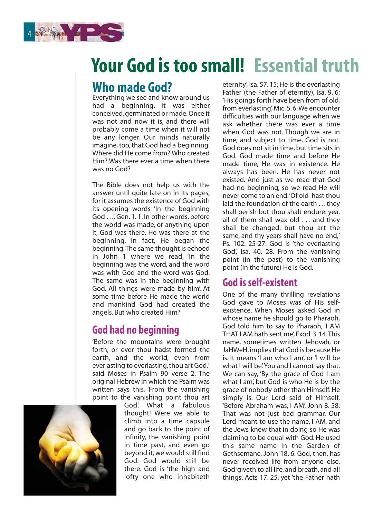

## **Your God is too small! Essential truth**

## **Who made God?**

Everything we see and know around us had a beginning. It was either conceived, germinated or made. Once it was not and now it is, and there will probably come a time when it will not be any longer. Our minds naturally imagine, too, that God had a beginning. Where did He come from? Who created Him? Was there ever a time when there was no God?

The Bible does not help us with the answer until quite late on in its pages, for it assumes the existence of God with its opening words 'In the beginning God . . .', Gen. 1. 1. In other words, before the world was made, or anything upon it, God was there. He was there at the beginning. In fact, He began the beginning.The same thought is echoed in John 1 where we read, 'In the beginning was the word, and the word was with God and the word was God. The same was in the beginning with God. All things were made by him'. At some time before He made the world and mankind God had created the angels. But who created Him?

### **God had no beginning**

'Before the mountains were brought forth, or ever thou hadst formed the earth, and the world, even from everlasting to everlasting, thou art God,' said Moses in Psalm 90 verse 2. The original Hebrew in which the Psalm was written says this, 'From the vanishing point to the vanishing point thou art



God'. What a fabulous thought! Were we able to climb into a time capsule and go back to the point of infinity, the vanishing point in time past, and even go beyond it, we would still find God. God would still be there. God is 'the high and lofty one who inhabiteth eternity', Isa. 57. 15; He is the everlasting Father (the Father of eternity), Isa. 9. 6; 'His goings forth have been from of old, from everlasting', Mic. 5. 6.We encounter difficulties with our language when we ask whether there was ever a time when God was not. Though we are in time, and subject to time, God is not. God does not sit in time, but time sits in God. God made time and before He made time, He was in existence. He always has been. He has never not existed. And just as we read that God had no beginning, so we read He will never come to an end.'Of old hast thou laid the foundation of the earth . . . they shall perish but thou shalt endure: yea, all of them shall wax old . . . and they shall be changed: but thou art the same, and thy years shall have no end,' Ps. 102. 25-27. God is 'the everlasting God', Isa. 40. 28. From the vanishing point (in the past) to the vanishing point (in the future) He is God.

### **God is self-existent**

One of the many thrilling revelations God gave to Moses was of His selfexistence. When Moses asked God in whose name he should go to Pharaoh, God told him to say to Pharaoh, 'I AM THAT I AM hath sent me', Exod. 3. 14.This name, sometimes written Jehovah, or JaHWeH, implies that God is because He is. It means 'I am who I am', or 'I will be what I will be'.You and I cannot say that. We can say, 'By the grace of God I am what I am', but God is who He is by the grace of nobody other than Himself. He simply is. Our Lord said of Himself, 'Before Abraham was, I AM', John 8. 58. That was not just bad grammar. Our Lord meant to use the name, I AM, and the Jews knew that in doing so He was claiming to be equal with God. He used this same name in the Garden of Gethsemane, John 18. 6. God, then, has never received life from anyone else. God 'giveth to all life, and breath, and all things', Acts 17. 25, yet 'the Father hath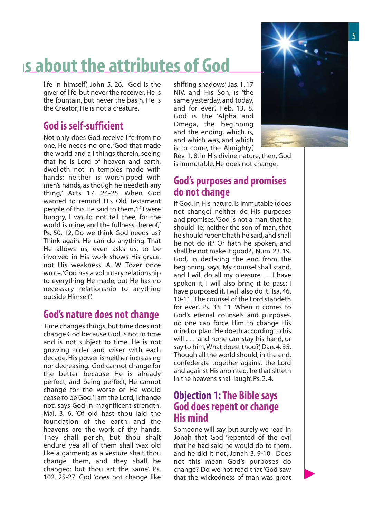# **hs about the attributes of God**

life in himself', John 5. 26. God is the giver of life, but never the receiver. He is the fountain, but never the basin. He is the Creator; He is not a creature.

## **God is self-sufficient**

Not only does God receive life from no one, He needs no one. 'God that made the world and all things therein, seeing that he is Lord of heaven and earth, dwelleth not in temples made with hands; neither is worshipped with men's hands, as though he needeth any thing,' Acts 17. 24-25. When God wanted to remind His Old Testament people of this He said to them,'If I were hungry, I would not tell thee, for the world is mine, and the fullness thereof,' Ps. 50. 12. Do we think God needs us? Think again. He can do anything. That He allows us, even asks us, to be involved in His work shows His grace, not His weakness. A. W. Tozer once wrote,'God has a voluntary relationship to everything He made, but He has no necessary relationship to anything outside Himself'.

#### **God's nature does not change**

Time changes things, but time does not change God because God is not in time and is not subject to time. He is not growing older and wiser with each decade. His power is neither increasing nor decreasing. God cannot change for the better because He is already perfect; and being perfect, He cannot change for the worse or He would cease to be God.'I am the Lord, I change not', says God in magnificent strength, Mal. 3. 6. 'Of old hast thou laid the foundation of the earth: and the heavens are the work of thy hands. They shall perish, but thou shalt endure: yea all of them shall wax old like a garment; as a vesture shalt thou change them, and they shall be changed: but thou art the same', Ps. 102. 25-27. God 'does not change like

shifting shadows', Jas. 1. 17 NIV, and His Son, is 'the same yesterday, and today, and for ever', Heb. 13. 8. God is the 'Alpha and Omega, the beginning and the ending, which is, and which was, and which is to come, the Almighty',



Rev. 1. 8. In His divine nature, then, God is immutable. He does not change.

### **God's purposes and promises do not change**

If God, in His nature, is immutable (does not change) neither do His purposes and promises.'God is not a man, that he should lie; neither the son of man, that he should repent: hath he said, and shall he not do it? Or hath he spoken, and shall he not make it good?', Num. 23. 19. God, in declaring the end from the beginning, says,'My counsel shall stand, and I will do all my pleasure . . . I have spoken it, I will also bring it to pass; I have purposed it, I will also do it.' Isa. 46. 10-11.'The counsel of the Lord standeth for ever', Ps. 33. 11. When it comes to God's eternal counsels and purposes, no one can force Him to change His mind or plan.'He doeth according to his will . . . and none can stay his hand, or say to him,What doest thou?', Dan. 4. 35. Though all the world should, in the end, confederate together against the Lord and against His anointed,'he that sitteth in the heavens shall laugh', Ps. 2. 4.

#### **Objection 1:The Bible says God does repent or change His mind**

Someone will say, but surely we read in Jonah that God 'repented of the evil that he had said he would do to them, and he did it not', Jonah 3. 9-10. Does not this mean God's purposes do change? Do we not read that 'God saw that the wickedness of man was great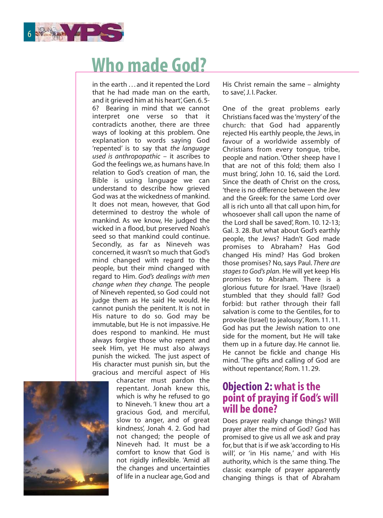

## **Who made God?**

in the earth . . . and it repented the Lord that he had made man on the earth, and it grieved him at his heart', Gen. 6.5-<br>6? Bearing in mind that we cannot Bearing in mind that we cannot interpret one verse so that it contradicts another, there are three ways of looking at this problem. One explanation to words saying God 'repented' is to say that the language used is anthropopathic – it ascribes to God the feelings we, as humans have. In relation to God's creation of man, the Bible is using language we can understand to describe how grieved God was at the wickedness of mankind. It does not mean, however, that God determined to destroy the whole of mankind. As we know, He judged the wicked in a flood, but preserved Noah's seed so that mankind could continue. Secondly, as far as Nineveh was concerned, it wasn't so much that God's mind changed with regard to the people, but their mind changed with regard to Him. God's dealings with men change when they change. The people of Nineveh repented, so God could not judge them as He said He would. He cannot punish the penitent. It is not in His nature to do so. God may be immutable, but He is not impassive. He does respond to mankind. He must always forgive those who repent and seek Him, yet He must also always punish the wicked. The just aspect of His character must punish sin, but the gracious and merciful aspect of His



character must pardon the repentant. Jonah knew this, which is why he refused to go to Nineveh. 'I knew thou art a gracious God, and merciful, slow to anger, and of great kindness', Jonah 4. 2. God had not changed; the people of Nineveh had. It must be a comfort to know that God is not rigidly inflexible. 'Amid all the changes and uncertainties of life in a nuclear age, God and His Christ remain the same – almighty to save', J. I. Packer.

One of the great problems early Christians faced was the 'mystery' of the church: that God had apparently rejected His earthly people, the Jews, in favour of a worldwide assembly of Christians from every tongue, tribe, people and nation. 'Other sheep have I that are not of this fold; them also I must bring', John 10. 16, said the Lord. Since the death of Christ on the cross 'there is no difference between the Jew and the Greek: for the same Lord over all is rich unto all that call upon him, for whosoever shall call upon the name of the Lord shall be saved', Rom. 10. 12-13; Gal. 3. 28. But what about God's earthly people, the Jews? Hadn't God made promises to Abraham? Has God changed His mind? Has God broken those promises? No, says Paul. There are stages to God's plan. He will yet keep His promises to Abraham. There is a glorious future for Israel. 'Have (Israel) stumbled that they should fall? God forbid: but rather through their fall salvation is come to the Gentiles, for to provoke (Israel) to jealousy', Rom. 11. 11. God has put the Jewish nation to one side for the moment, but He will take them up in a future day. He cannot lie. He cannot be fickle and change His mind. 'The gifts and calling of God are without repentance', Rom. 11. 29.

#### **Objection 2:what is the point of praying if God's will will be done?**

Does prayer really change things? Will prayer alter the mind of God? God has promised to give us all we ask and pray for, but that is if we ask 'according to His will', or 'in His name,' and with His authority, which is the same thing. The classic example of prayer apparently changing things is that of Abraham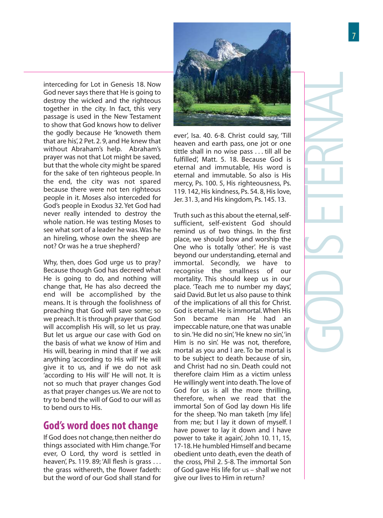interceding for Lot in Genesis 18. Now God never says there that He is going to destroy the wicked and the righteous together in the city. In fact, this very passage is used in the New Testament to show that God knows how to deliver the godly because He 'knoweth them that are his', 2 Pet. 2. 9, and He knew that without Abraham's help. Abraham's prayer was not that Lot might be saved, but that the whole city might be spared for the sake of ten righteous people. In the end, the city was not spared because there were not ten righteous people in it. Moses also interceded for God's people in Exodus 32. Yet God had never really intended to destroy the whole nation. He was testing Moses to see what sort of a leader he was.Was he an hireling, whose own the sheep are not? Or was he a true shepherd?

Why, then, does God urge us to pray? Because though God has decreed what He is going to do, and nothing will change that, He has also decreed the end will be accomplished by the means. It is through the foolishness of preaching that God will save some; so we preach. It is through prayer that God will accomplish His will, so let us pray. But let us argue our case with God on the basis of what we know of Him and His will, bearing in mind that if we ask anything 'according to His will' He will give it to us, and if we do not ask 'according to His will' He will not. It is not so much that prayer changes God as that prayer changes us.We are not to try to bend the will of God to our will as to bend ours to His.

#### **God's word does not change**

If God does not change, then neither do things associated with Him change.'For ever, O Lord, thy word is settled in heaven', Ps. 119. 89; 'All flesh is grass . . . the grass withereth, the flower fadeth: but the word of our God shall stand for



eternal and immutable, His word is eternal and immutable. So also is His mercy, Ps. 100. 5, His righteousness, Ps. 119. 142, His kindness, Ps. 54. 8, His love, Jer. 31. 3, and His kingdom, Ps. 145. 13.

Truth such as this about the eternal, selfsufficient, self-existent God should remind us of two things. In the first place, we should bow and worship the One who is totally 'other'. He is vast beyond our understanding, eternal and immortal. Secondly, we have to recognise the smallness of our mortality. This should keep us in our place. 'Teach me to number my days', said David. But let us also pause to think of the implications of all this for Christ. God is eternal. He is immortal. When His Son became man He had an impeccable nature, one that was unable to sin.'He did no sin','He knew no sin','in Him is no sin'. He was not, therefore, mortal as you and I are. To be mortal is to be subject to death because of sin, and Christ had no sin. Death could not therefore claim Him as a victim unless He willingly went into death.The love of God for us is all the more thrilling, therefore, when we read that the immortal Son of God lay down His life for the sheep. 'No man taketh [my life] from me; but I lay it down of myself. I have power to lay it down and I have power to take it again', John 10. 11, 15, 17-18. He humbled Himself and became obedient unto death, even the death of the cross, Phil 2. 5-8. The immortal Son of God gave His life for us – shall we not give our lives to Him in return?